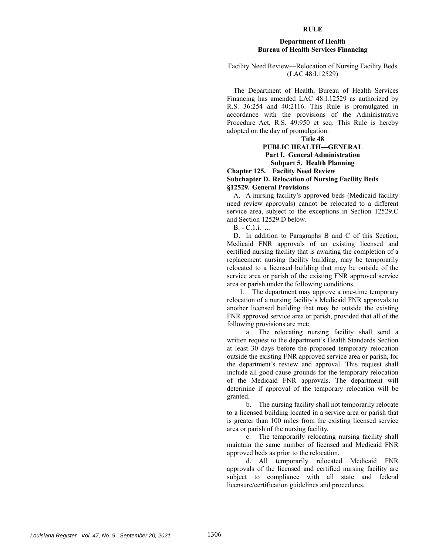#### **RULE**

#### **Department of Health Bureau of Health Services Financing**

# Facility Need Review—Relocation of Nursing Facility Beds (LAC 48:I.12529)

The Department of Health, Bureau of Health Services Financing has amended LAC 48:I.12529 as authorized by R.S. 36:254 and 40:2116. This Rule is promulgated in accordance with the provisions of the Administrative Procedure Act, R.S. 49:950 et seq. This Rule is hereby adopted on the day of promulgation.

**Title 48** 

# **PUBLIC HEALTH—GENERAL Part I. General Administration Subpart 5. Health Planning**

### **Chapter 125. Facility Need Review Subchapter D. Relocation of Nursing Facility Beds §12529. General Provisions**

A. A nursing facility's approved beds (Medicaid facility need review approvals) cannot be relocated to a different service area, subject to the exceptions in Section 12529.C and Section 12529.D below.

B. - C.1.i. ...

D. In addition to Paragraphs B and C of this Section, Medicaid FNR approvals of an existing licensed and certified nursing facility that is awaiting the completion of a replacement nursing facility building, may be temporarily relocated to a licensed building that may be outside of the service area or parish of the existing FNR approved service area or parish under the following conditions.

1. The department may approve a one-time temporary relocation of a nursing facility's Medicaid FNR approvals to another licensed building that may be outside the existing FNR approved service area or parish, provided that all of the following provisions are met:

a. The relocating nursing facility shall send a written request to the department's Health Standards Section at least 30 days before the proposed temporary relocation outside the existing FNR approved service area or parish, for the department's review and approval. This request shall include all good cause grounds for the temporary relocation of the Medicaid FNR approvals. The department will determine if approval of the temporary relocation will be granted.

b. The nursing facility shall not temporarily relocate to a licensed building located in a service area or parish that is greater than 100 miles from the existing licensed service area or parish of the nursing facility.

c. The temporarily relocating nursing facility shall maintain the same number of licensed and Medicaid FNR approved beds as prior to the relocation.

d. All temporarily relocated Medicaid FNR approvals of the licensed and certified nursing facility are subject to compliance with all state and federal licensure/certification guidelines and procedures.